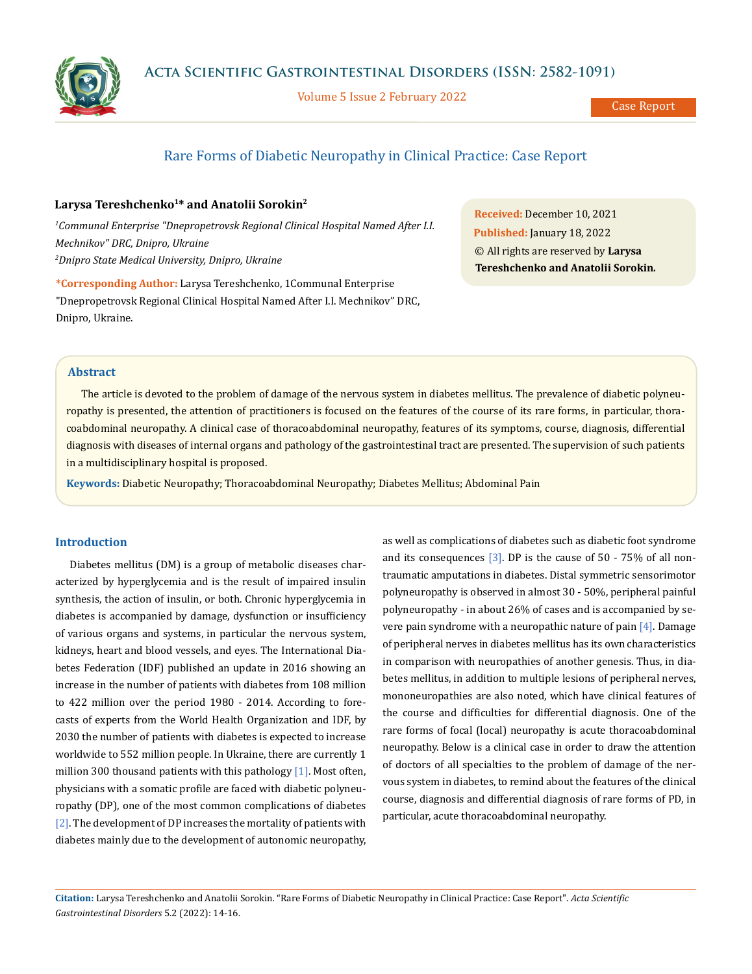

Volume 5 Issue 2 February 2022

# Rare Forms of Diabetic Neuropathy in Clinical Practice: Case Report

# **Larysa Tereshchenko1\* and Anatolii Sorokin2**

*1 Сommunal Enterprise "Dnepropetrovsk Regional Clinical Hospital Named After I.I. Mechnikov" DRС, Dnipro, Ukraine 2 Dnipro State Medical University, Dnipro, Ukraine*

**\*Corresponding Author:** Larysa Tereshchenko, 1Сommunal Enterprise "Dnepropetrovsk Regional Clinical Hospital Named After I.I. Mechnikov" DRС, Dnipro, Ukraine.

**Received:** December 10, 2021 **Published:** January 18, 2022 © All rights are reserved by **Larysa Tereshchenko and Anatolii Sorokin***.*

# **Abstract**

The article is devoted to the problem of damage of the nervous system in diabetes mellitus. The prevalence of diabetic polyneuropathy is presented, the attention of practitioners is focused on the features of the course of its rare forms, in particular, thoracoabdominal neuropathy. A clinical case of thoracoabdominal neuropathy, features of its symptoms, course, diagnosis, differential diagnosis with diseases of internal organs and pathology of the gastrointestinal tract are presented. The supervision of such patients in a multidisciplinary hospital is proposed.

**Keywords:** Diabetic Neuropathy; Thoracoabdominal Neuropathy; Diabetes Mellitus; Abdominal Pain

### **Introduction**

Diabetes mellitus (DM) is a group of metabolic diseases characterized by hyperglycemia and is the result of impaired insulin synthesis, the action of insulin, or both. Chronic hyperglycemia in diabetes is accompanied by damage, dysfunction or insufficiency of various organs and systems, in particular the nervous system, kidneys, heart and blood vessels, and eyes. The International Diabetes Federation (IDF) published an update in 2016 showing an increase in the number of patients with diabetes from 108 million to 422 million over the period 1980 - 2014. According to forecasts of experts from the World Health Organization and IDF, by 2030 the number of patients with diabetes is expected to increase worldwide to 552 million people. In Ukraine, there are currently 1 million 300 thousand patients with this pathology  $[1]$ . Most often, physicians with a somatic profile are faced with diabetic polyneuropathy (DP), one of the most common complications of diabetes [2]. The development of DP increases the mortality of patients with diabetes mainly due to the development of autonomic neuropathy, as well as complications of diabetes such as diabetic foot syndrome and its consequences  $\lceil 3 \rceil$ . DP is the cause of 50 - 75% of all nontraumatic amputations in diabetes. Distal symmetric sensorimotor polyneuropathy is observed in almost 30 - 50%, peripheral painful polyneuropathy - in about 26% of cases and is accompanied by severe pain syndrome with a neuropathic nature of pain  $[4]$ . Damage of peripheral nerves in diabetes mellitus has its own characteristics in comparison with neuropathies of another genesis. Thus, in diabetes mellitus, in addition to multiple lesions of peripheral nerves, mononeuropathies are also noted, which have clinical features of the course and difficulties for differential diagnosis. One of the rare forms of focal (local) neuropathy is acute thoracoabdominal neuropathy. Below is a clinical case in order to draw the attention of doctors of all specialties to the problem of damage of the nervous system in diabetes, to remind about the features of the clinical course, diagnosis and differential diagnosis of rare forms of PD, in particular, acute thoracoabdominal neuropathy.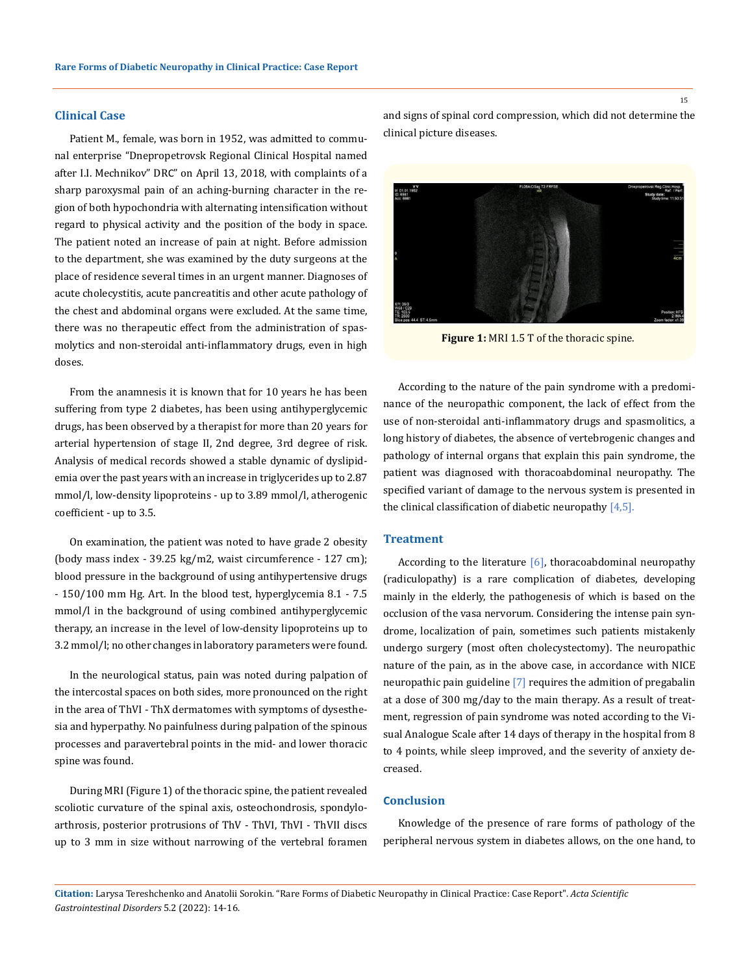## **Clinical Case**

Patient M., female, was born in 1952, was admitted to communal enterprise "Dnepropetrovsk Regional Clinical Hospital named after I.I. Mechnikov" DRС" on April 13, 2018, with complaints of a sharp paroxysmal pain of an aching-burning character in the region of both hypochondria with alternating intensification without regard to physical activity and the position of the body in space. The patient noted an increase of pain at night. Before admission to the department, she was examined by the duty surgeons at the place of residence several times in an urgent manner. Diagnoses of acute cholecystitis, acute pancreatitis and other acute pathology of the chest and abdominal organs were excluded. At the same time, there was no therapeutic effect from the administration of spasmolytics and non-steroidal anti-inflammatory drugs, even in high doses.

From the anamnesis it is known that for 10 years he has been suffering from type 2 diabetes, has been using antihyperglycemic drugs, has been observed by a therapist for more than 20 years for arterial hypertension of stage II, 2nd degree, 3rd degree of risk. Analysis of medical records showed a stable dynamic of dyslipidemia over the past years with an increase in triglycerides up to 2.87 mmol/l, low-density lipoproteins - up to 3.89 mmol/l, atherogenic coefficient - up to 3.5.

On examination, the patient was noted to have grade 2 obesity (body mass index - 39.25 kg/m2, waist circumference - 127 cm); blood pressure in the background of using antihypertensive drugs - 150/100 mm Hg. Art. In the blood test, hyperglycemia 8.1 - 7.5 mmol/l in the background of using combined antihyperglycemic therapy, an increase in the level of low-density lipoproteins up to 3.2 mmol/l; no other changes in laboratory parameters were found.

In the neurological status, pain was noted during palpation of the intercostal spaces on both sides, more pronounced on the right in the area of ThVI - ThX dermatomes with symptoms of dysesthesia and hyperpathy. No painfulness during palpation of the spinous processes and paravertebral points in the mid- and lower thoracic spine was found.

During MRI (Figure 1) of the thoracic spine, the patient revealed scoliotic curvature of the spinal axis, osteochondrosis, spondyloarthrosis, posterior protrusions of ThV - ThVI, ThVI - ThVII discs up to 3 mm in size without narrowing of the vertebral foramen and signs of spinal cord compression, which did not determine the clinical picture diseases.



Figure 1: MRI 1.5 T of the thoracic spine.

According to the nature of the pain syndrome with a predominance of the neuropathic component, the lack of effect from the use of non-steroidal anti-inflammatory drugs and spasmolitics, a long history of diabetes, the absence of vertebrogenic changes and pathology of internal organs that explain this pain syndrome, the patient was diagnosed with thoracoabdominal neuropathy. The specified variant of damage to the nervous system is presented in the clinical classification of diabetic neuropathy  $[4,5]$ .

#### **Treatment**

According to the literature  $[6]$ , thoracoabdominal neuropathy (radiculopathy) is a rare complication of diabetes, developing mainly in the elderly, the pathogenesis of which is based on the occlusion of the vasa nervorum. Considering the intense pain syndrome, localization of pain, sometimes such patients mistakenly undergo surgery (most often cholecystectomy). The neuropathic nature of the pain, as in the above case, in accordance with NICE neuropathic pain guideline [7] requires the admition of pregabalin at a dose of 300 mg/day to the main therapy. As a result of treatment, regression of pain syndrome was noted according to the Visual Analogue Scale after 14 days of therapy in the hospital from 8 to 4 points, while sleep improved, and the severity of anxiety decreased.

#### **Сonclusion**

Knowledge of the presence of rare forms of pathology of the peripheral nervous system in diabetes allows, on the one hand, to

15